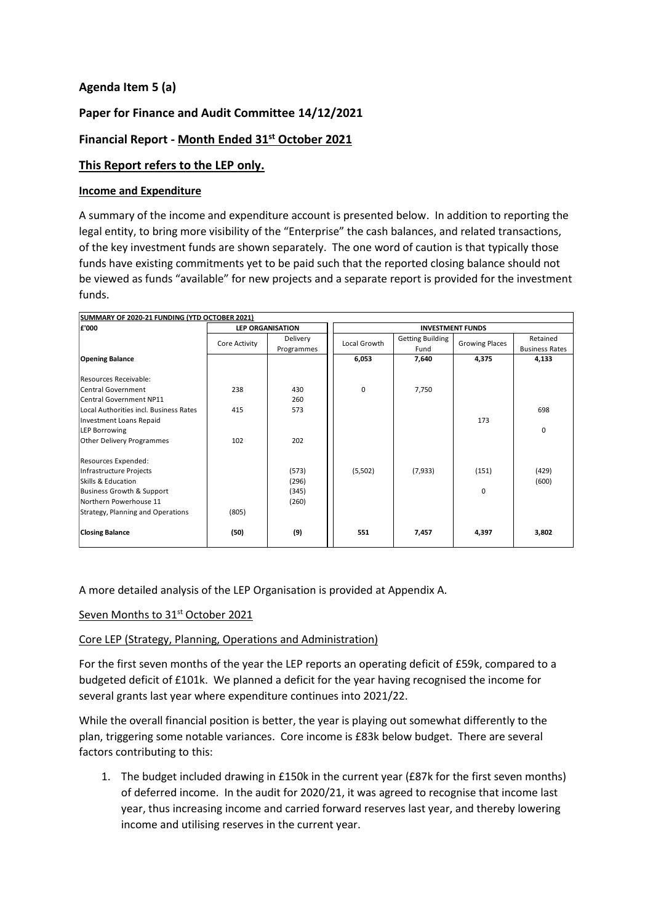# **Agenda Item 5 (a)**

# **Paper for Finance and Audit Committee 14/12/2021**

# **Financial Report - Month Ended 31 st October 2021**

#### **This Report refers to the LEP only.**

#### **Income and Expenditure**

A summary of the income and expenditure account is presented below. In addition to reporting the legal entity, to bring more visibility of the "Enterprise" the cash balances, and related transactions, of the key investment funds are shown separately. The one word of caution is that typically those funds have existing commitments yet to be paid such that the reported closing balance should not be viewed as funds "available" for new projects and a separate report is provided for the investment funds.

| SUMMARY OF 2020-21 FUNDING (YTD OCTOBER 2021) |               |                         |                         |                                 |                       |                                   |  |  |
|-----------------------------------------------|---------------|-------------------------|-------------------------|---------------------------------|-----------------------|-----------------------------------|--|--|
| £'000                                         |               | <b>LEP ORGANISATION</b> | <b>INVESTMENT FUNDS</b> |                                 |                       |                                   |  |  |
|                                               | Core Activity | Delivery<br>Programmes  | Local Growth            | <b>Getting Building</b><br>Fund | <b>Growing Places</b> | Retained<br><b>Business Rates</b> |  |  |
| <b>Opening Balance</b>                        |               |                         | 6,053                   | 7,640                           | 4,375                 | 4,133                             |  |  |
| Resources Receivable:                         |               |                         |                         |                                 |                       |                                   |  |  |
| <b>Central Government</b>                     | 238           | 430                     | 0                       | 7,750                           |                       |                                   |  |  |
| <b>Central Government NP11</b>                |               | 260                     |                         |                                 |                       |                                   |  |  |
| Local Authorities incl. Business Rates        | 415           | 573                     |                         |                                 |                       | 698                               |  |  |
| Investment Loans Repaid                       |               |                         |                         |                                 | 173                   |                                   |  |  |
| <b>LEP Borrowing</b>                          |               |                         |                         |                                 |                       | 0                                 |  |  |
| Other Delivery Programmes                     | 102           | 202                     |                         |                                 |                       |                                   |  |  |
| Resources Expended:                           |               |                         |                         |                                 |                       |                                   |  |  |
| Infrastructure Projects                       |               | (573)                   | (5,502)                 | (7,933)                         | (151)                 | (429)                             |  |  |
| Skills & Education                            |               | (296)                   |                         |                                 |                       | (600)                             |  |  |
| Business Growth & Support                     |               | (345)                   |                         |                                 | $\Omega$              |                                   |  |  |
| Northern Powerhouse 11                        |               | (260)                   |                         |                                 |                       |                                   |  |  |
| Strategy, Planning and Operations             | (805)         |                         |                         |                                 |                       |                                   |  |  |
| <b>Closing Balance</b>                        | (50)          | (9)                     | 551                     | 7,457                           | 4,397                 | 3,802                             |  |  |

A more detailed analysis of the LEP Organisation is provided at Appendix A.

### Seven Months to 31<sup>st</sup> October 2021

#### Core LEP (Strategy, Planning, Operations and Administration)

For the first seven months of the year the LEP reports an operating deficit of £59k, compared to a budgeted deficit of £101k. We planned a deficit for the year having recognised the income for several grants last year where expenditure continues into 2021/22.

While the overall financial position is better, the year is playing out somewhat differently to the plan, triggering some notable variances. Core income is £83k below budget. There are several factors contributing to this:

1. The budget included drawing in £150k in the current year (£87k for the first seven months) of deferred income. In the audit for 2020/21, it was agreed to recognise that income last year, thus increasing income and carried forward reserves last year, and thereby lowering income and utilising reserves in the current year.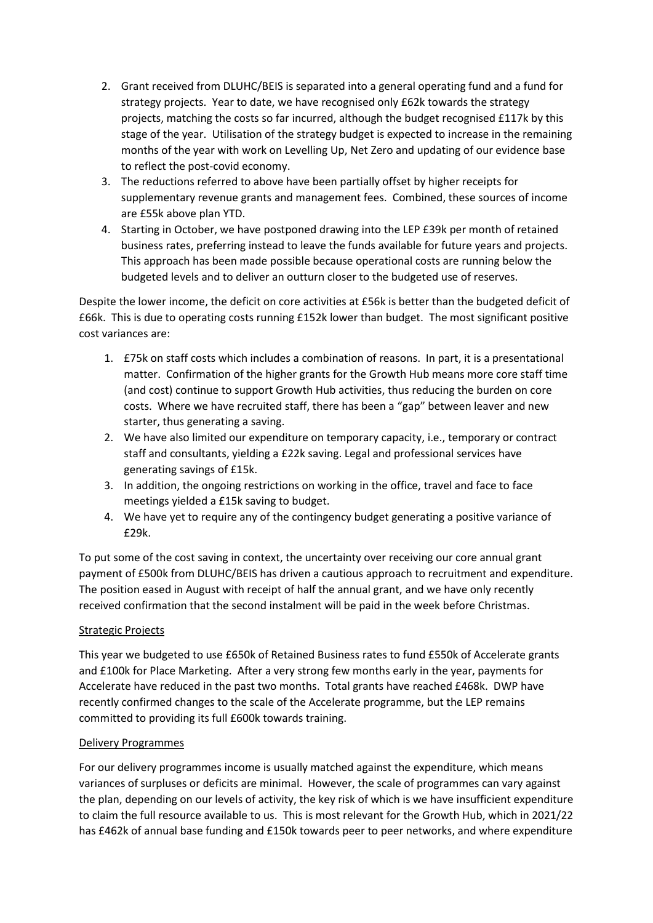- 2. Grant received from DLUHC/BEIS is separated into a general operating fund and a fund for strategy projects. Year to date, we have recognised only £62k towards the strategy projects, matching the costs so far incurred, although the budget recognised £117k by this stage of the year. Utilisation of the strategy budget is expected to increase in the remaining months of the year with work on Levelling Up, Net Zero and updating of our evidence base to reflect the post-covid economy.
- 3. The reductions referred to above have been partially offset by higher receipts for supplementary revenue grants and management fees. Combined, these sources of income are £55k above plan YTD.
- 4. Starting in October, we have postponed drawing into the LEP £39k per month of retained business rates, preferring instead to leave the funds available for future years and projects. This approach has been made possible because operational costs are running below the budgeted levels and to deliver an outturn closer to the budgeted use of reserves.

Despite the lower income, the deficit on core activities at £56k is better than the budgeted deficit of £66k. This is due to operating costs running £152k lower than budget. The most significant positive cost variances are:

- 1. £75k on staff costs which includes a combination of reasons. In part, it is a presentational matter. Confirmation of the higher grants for the Growth Hub means more core staff time (and cost) continue to support Growth Hub activities, thus reducing the burden on core costs. Where we have recruited staff, there has been a "gap" between leaver and new starter, thus generating a saving.
- 2. We have also limited our expenditure on temporary capacity, i.e., temporary or contract staff and consultants, yielding a £22k saving. Legal and professional services have generating savings of £15k.
- 3. In addition, the ongoing restrictions on working in the office, travel and face to face meetings yielded a £15k saving to budget.
- 4. We have yet to require any of the contingency budget generating a positive variance of £29k.

To put some of the cost saving in context, the uncertainty over receiving our core annual grant payment of £500k from DLUHC/BEIS has driven a cautious approach to recruitment and expenditure. The position eased in August with receipt of half the annual grant, and we have only recently received confirmation that the second instalment will be paid in the week before Christmas.

# Strategic Projects

This year we budgeted to use £650k of Retained Business rates to fund £550k of Accelerate grants and £100k for Place Marketing. After a very strong few months early in the year, payments for Accelerate have reduced in the past two months. Total grants have reached £468k. DWP have recently confirmed changes to the scale of the Accelerate programme, but the LEP remains committed to providing its full £600k towards training.

## Delivery Programmes

For our delivery programmes income is usually matched against the expenditure, which means variances of surpluses or deficits are minimal. However, the scale of programmes can vary against the plan, depending on our levels of activity, the key risk of which is we have insufficient expenditure to claim the full resource available to us. This is most relevant for the Growth Hub, which in 2021/22 has £462k of annual base funding and £150k towards peer to peer networks, and where expenditure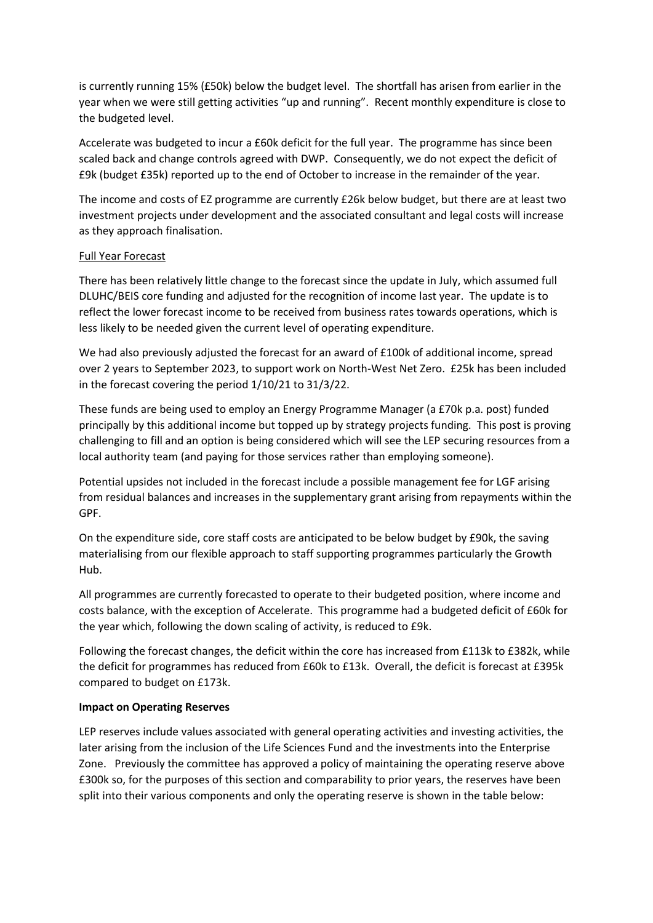is currently running 15% (£50k) below the budget level. The shortfall has arisen from earlier in the year when we were still getting activities "up and running". Recent monthly expenditure is close to the budgeted level.

Accelerate was budgeted to incur a £60k deficit for the full year. The programme has since been scaled back and change controls agreed with DWP. Consequently, we do not expect the deficit of £9k (budget £35k) reported up to the end of October to increase in the remainder of the year.

The income and costs of EZ programme are currently £26k below budget, but there are at least two investment projects under development and the associated consultant and legal costs will increase as they approach finalisation.

#### Full Year Forecast

There has been relatively little change to the forecast since the update in July, which assumed full DLUHC/BEIS core funding and adjusted for the recognition of income last year. The update is to reflect the lower forecast income to be received from business rates towards operations, which is less likely to be needed given the current level of operating expenditure.

We had also previously adjusted the forecast for an award of £100k of additional income, spread over 2 years to September 2023, to support work on North-West Net Zero. £25k has been included in the forecast covering the period 1/10/21 to 31/3/22.

These funds are being used to employ an Energy Programme Manager (a £70k p.a. post) funded principally by this additional income but topped up by strategy projects funding. This post is proving challenging to fill and an option is being considered which will see the LEP securing resources from a local authority team (and paying for those services rather than employing someone).

Potential upsides not included in the forecast include a possible management fee for LGF arising from residual balances and increases in the supplementary grant arising from repayments within the GPF.

On the expenditure side, core staff costs are anticipated to be below budget by £90k, the saving materialising from our flexible approach to staff supporting programmes particularly the Growth Hub.

All programmes are currently forecasted to operate to their budgeted position, where income and costs balance, with the exception of Accelerate. This programme had a budgeted deficit of £60k for the year which, following the down scaling of activity, is reduced to £9k.

Following the forecast changes, the deficit within the core has increased from £113k to £382k, while the deficit for programmes has reduced from £60k to £13k. Overall, the deficit is forecast at £395k compared to budget on £173k.

#### **Impact on Operating Reserves**

LEP reserves include values associated with general operating activities and investing activities, the later arising from the inclusion of the Life Sciences Fund and the investments into the Enterprise Zone. Previously the committee has approved a policy of maintaining the operating reserve above £300k so, for the purposes of this section and comparability to prior years, the reserves have been split into their various components and only the operating reserve is shown in the table below: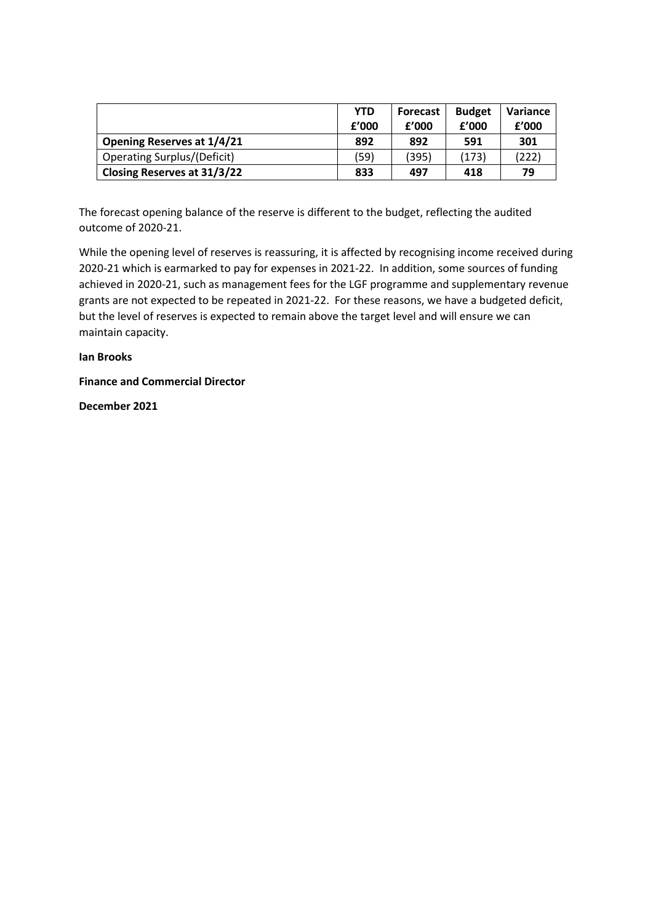|                                    | <b>YTD</b><br>f'000 | <b>Forecast</b><br>f'000 | <b>Budget</b><br>f'000 | Variance<br>f'000 |
|------------------------------------|---------------------|--------------------------|------------------------|-------------------|
| <b>Opening Reserves at 1/4/21</b>  | 892                 | 892                      | 591                    | 301               |
| <b>Operating Surplus/(Deficit)</b> | (59)                | (395)                    | (173)                  | (222)             |
| Closing Reserves at 31/3/22        | 833                 | 497                      | 418                    | 79                |

The forecast opening balance of the reserve is different to the budget, reflecting the audited outcome of 2020-21.

While the opening level of reserves is reassuring, it is affected by recognising income received during 2020-21 which is earmarked to pay for expenses in 2021-22. In addition, some sources of funding achieved in 2020-21, such as management fees for the LGF programme and supplementary revenue grants are not expected to be repeated in 2021-22. For these reasons, we have a budgeted deficit, but the level of reserves is expected to remain above the target level and will ensure we can maintain capacity.

**Ian Brooks** 

**Finance and Commercial Director**

**December 2021**